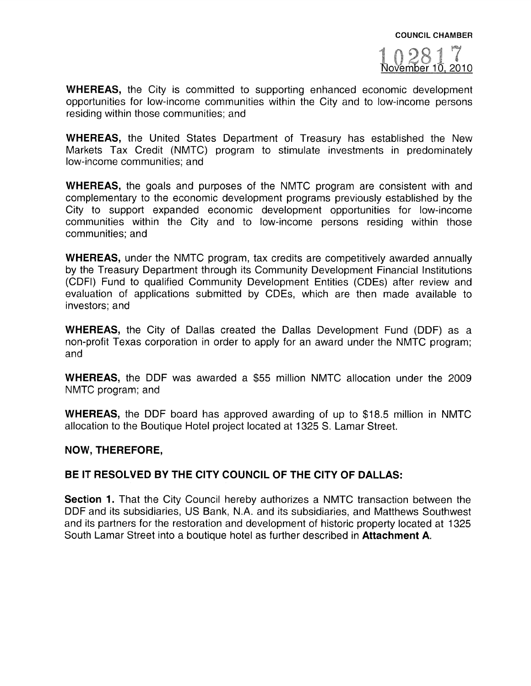

WHEREAS, the City is committed to supporting enhanced economic development opportunities for low-income communities within the City and to low-income persons residing within those communities; and

WHEREAS, the United States Department of Treasury has established the New Markets Tax Credit (NMTC) program to stimulate investments in predominately low-income communities; and

WHEREAS, the goals and purposes of the NMTC program are consistent with and complementary to the economic development programs previously established by the City to suppor<sup>t</sup> expanded economic development opportunities for low-income communities within the City and to low-income persons residing within those communities; and

WHEREAS, under the NMTC program, tax credits are competitively awarded annually by the Treasury Department through its Community Development Financial Institutions (CDFI) Fund to qualified Community Development Entities (CDEs) after review and evaluation of applications submitted by ODEs, which are then made available to investors; and

WHEREAS, the City of Dallas created the Dallas Development Fund (DDF) as <sup>a</sup> non-profit Texas corporation in order to apply for an award under the NMTC program; and

WHEREAS, the DDE was awarded <sup>a</sup> \$55 million NMTC allocation under the 2009 NMTC program; and

WHEREAS, the DDF board has approved awarding of up to \$18.5 million in NMTC allocation to the Boutique Hotel project located at 1325 S. Lamar Street.

#### NOW, THEREFORE,

#### BE IT RESOLVED BY THE CITY COUNCIL OF THE CITY OF DALLAS:

Section 1. That the City Council hereby authorizes a NMTC transaction between the DDE and its subsidiaries, US Bank, N.A. and its subsidiaries, and Matthews Southwest and its partners for the restoration and development of historic property located at 1325 South Lamar Street into <sup>a</sup> boutique hotel as further described in Attachment A.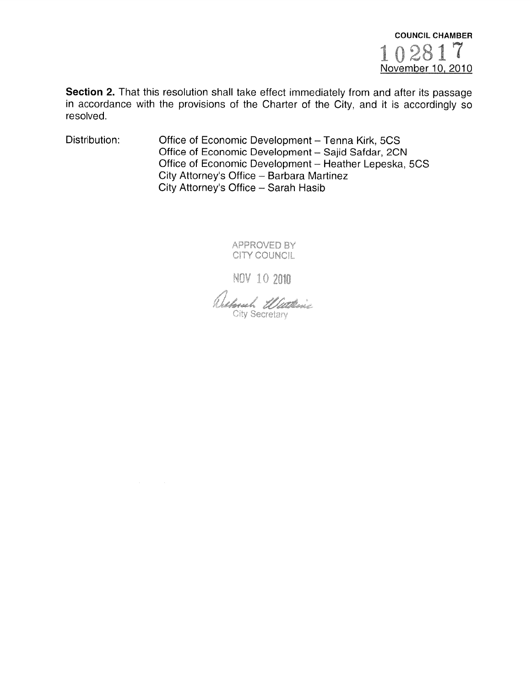

Section 2. That this resolution shall take effect immediately from and after its passage in accordance with the provisions of the Charter of the City, and it is accordingly so resolved.

Distribution: Office of Economic Development — Tenna Kirk, 5CS Office of Economic Development — Sajid Safdar, 2CN Office of Economic Development — Heather Lepeska, 5CS City Attorney's Office — Barbara Martinez City Attorney's Office — Sarah Hasib

> APPROVED BY CITY COUNCIL

NOV 10 2010

Reposed Watterie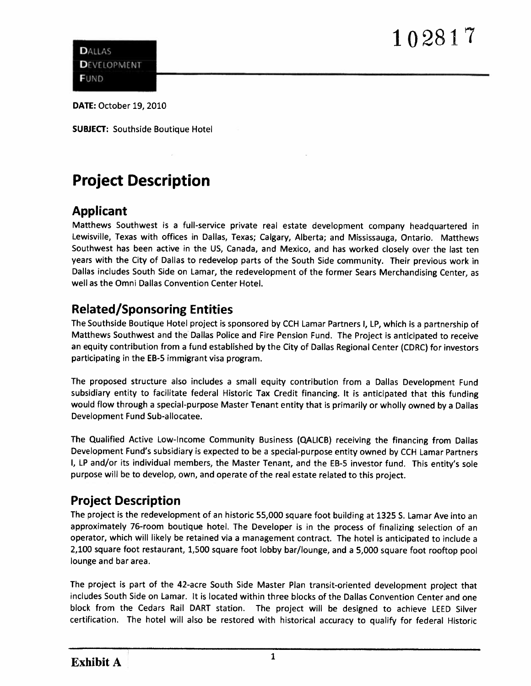# — S

**DALLAS DEVELOPMENT FUND** 

DATE: October 19, 2010

SUBjECT: Southside Boutique Hotel

## Project Description

#### Applicant

Matthews Southwest is <sup>a</sup> full-service private real estate development company headquartered in Lewisville, Texas with offices in Dallas, Texas; Calgary, Alberta; and Mississauga, Ontario. Matthews Southwest has been active in the US, Canada, and Mexico, and has worked closely over the last ten years with the City of Dallas to redevelop parts of the South Side community. Their previous work in Dallas includes South Side on Lamar, the redevelopment of the former Sears Merchandising Center, as well as the Omni Dallas Convention Center Hotel.

### Related/Sponsoring Entities

The Southside Boutique Hotel project is sponsore<sup>d</sup> by CCH Lamar Partners I, LP, which is <sup>a</sup> partnership of Matthews Southwest and the Dallas Police and Fire Pension Fund. The Project is anticipated to receive an equity contribution from <sup>a</sup> fund established by the City of Dallas Regional Center (CDRC) for investors participating in the EB-5 immigrant visa program.

The propose<sup>d</sup> structure also includes <sup>a</sup> small equity contribution from <sup>a</sup> Dallas Development Fund subsidiary entity to facilitate federal Historic Tax Credit financing. it is anticipated that this funding would flow through <sup>a</sup> special-purpose Master Tenant entity that is primarily or wholly owned by <sup>a</sup> Dallas Development Fund Sub-allocatee.

The Qualified Active Low-Income Community Business (QALICB) receiving the financing from Dallas Development Fund's subsidiary is expected to be <sup>a</sup> special-purpose entity owned by CCH Lamar Partners I, LP and/or its individual members, the Master Tenant, and the EB-5 investor fund. This entity's sole purpose will be to develop, own, and operate of the real estate related to this project.

#### Project Description

The project is the redevelopment of an historic 55,000 square foot building at 1325 S. Lamar Ave into an approximately 76-room boutique hotel. The Developer is in the process of finalizing selection of an operator, which will likely be retained via <sup>a</sup> managemen<sup>t</sup> contract. The hotel is anticipated to include <sup>a</sup> 2,100 square foot restaurant, 1,500 square foot lobby bar/lounge, and <sup>a</sup> 5,000 square foot rooftop poo<sup>l</sup> lounge and bar area.

The project is par<sup>t</sup> of the 42-acre South Side Master Plan transit-oriented development project that includes South Side on Lamar. It is located within three blocks of the Dallas Convention Center and one block from the Cedars Rail DART station. The project will be designed to achieve LEED Silver certification. The hotel will also be restored with historical accuracy to qualify for federal Historic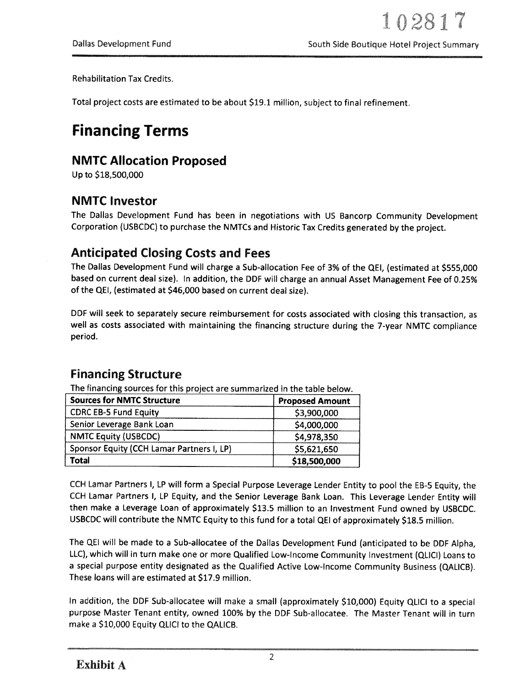Rehabilitation Tax Credits.

Total project costs are estimated to be about \$191 million, subject to final refinement.

## Financing Terms

### NMTC Allocation Proposed

Up to \$18,500,000

### NMTC Investor

The Dallas Development Fund has been in negotiations with US Bancorp Community Development Corporation (USBCDC) to purchase the NMTCs and Historic Tax Credits generated by the project.

### Anticipated Closing Costs and Fees

The Dallas Development Fund will charge <sup>a</sup> Sub-allocation Fee of 3% of the QEI, (estimated at \$555,000 based on current deal size). In addition, the DDF will charge an annual Asset Management Fee of 0.25% of the QEI, (estimated at \$46,000 based on current deal size).

DDF will seek to separately secure reimbursement for costs associated with closing this transaction, as well as costs associated with maintaining the financing structure during the 7-year NMTC compliance period.

#### Financing Structure

The financing sources for this project are summarized in the table below.

| <b>Sources for NMTC Structure</b>         | <b>Proposed Amount</b> |
|-------------------------------------------|------------------------|
| <b>CDRC EB-5 Fund Equity</b>              | \$3,900,000            |
| Senior Leverage Bank Loan                 | \$4,000,000            |
| <b>NMTC Equity (USBCDC)</b>               | \$4,978,350            |
| Sponsor Equity (CCH Lamar Partners I, LP) | \$5,621,650            |
| Total                                     | \$18,500,000           |

CCH Lamar Partners I, LP will form <sup>a</sup> Special Purpose Leverage Lender Entity to poo<sup>l</sup> the EB-5 Equity, the CCH Lamar Partners I, LP Equity, and the Senior Leverage Bank Loan. This Leverage Lender Entity will then make <sup>a</sup> Leverage Loan of approximately \$13.5 million to an Investment Fund owned by USBCDC. USBCDC will contribute the NMTC Equity to this fund for <sup>a</sup> total QEI of approximately \$18.5 million.

The QEI will be made to <sup>a</sup> Sub-allocatee of the Dallas Development Fund (anticipated to be DDF Alpha, LLC), which will in turn make one or more Qualified Low-Income Community Investment (QLICI) Loans to <sup>a</sup> special purpose entity designated as the Qualified Active Low-Income Community Business (QALICB). These loans will are estimated at \$17.9 million.

In addition, the DDF Sub-allocatee will make <sup>a</sup> small (approximately \$10,000) Equity QLICI to <sup>a</sup> special purpose Master Tenant entity, owned 100% by the DDF Sub-allocatee. The Master Tenant will in turn make <sup>a</sup> \$10,000 Equity QLICI to the QALICB.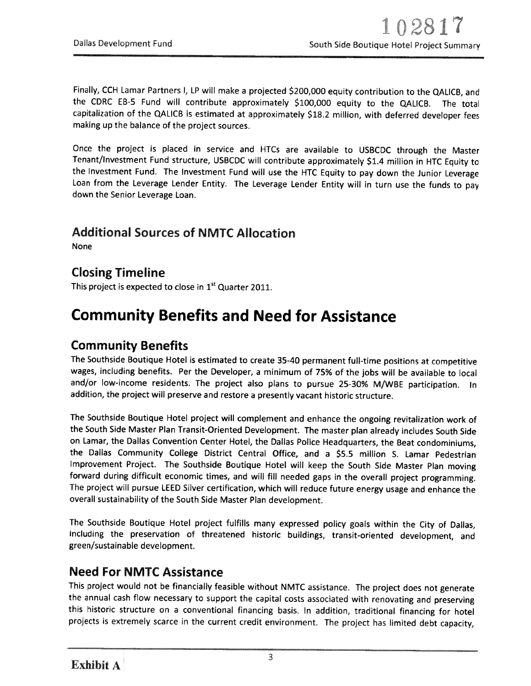Finally, CCH Lamar Partners 1, LP will make <sup>a</sup> projected \$200,000 equity contribution to the QALICB, and the CDRC EB-5 Fund will contribute approximately \$100,000 equity to the QALICB. The total capitalization of the QALICB is estimated at approximately \$18.2 million, with deferred developer fees making up the balance of the project sources.

Once the project is <sup>p</sup>laced in service and HTCs are available to USBCDC through the Master Tenant/Investment Fund structure, USBCDC will contribute approximately \$1.4 million in HTC Equity to the Investment Fund. The Investment Fund will use the HTC Equity to pay down the Junior Leverage Loan from the Leverage Lender Entity. The Leverage Lender Entity will in turn use the funds to pay down the Senior Leverage Loan.

#### Additional Sources of NMTC Allocation

None

#### Closing Timeline

This project is expected to close in 1<sup>st</sup> Quarter 2011.

### Community Benefits and Need for Assistance

#### Community Benefits

The Southside Boutique Hotel is estimated to create 35-40 permanent full-time positions at competitive wages, including benefits. Per the Developer, <sup>a</sup> minimum of 75% of the jobs will be available to local and/or low-income residents. The project also <sup>p</sup>lans to pursue 25-30% M/WBE participation. In addition, the project will preserve and restore <sup>a</sup> presently vacant historic structure.

The Southside Boutique Hotel project will complement and enhance the ongoing revitalization work of the South Side Master Plan Transit-Oriented Development. The master <sup>p</sup>lan already includes South Side on Lamar, the Dallas Convention Center Hotel, the Dallas Police Headquarters, the Beat condominiums, the Dallas Community College District Central Office, and <sup>a</sup> \$5.5 million S. Lamar Pedestrian Improvement Project. The Southside Boutique Hotel will keep the South Side Master Plan moving forward during difficult economic times, and will fill needed gaps in the overall project programming. The project will pursue LEED Silver certification, which will reduce future energy usage and enhance the overall sustainability of the South Side Master Plan development.

The Southside Boutique Hotel project fulfills many expressed policy goals within the City of Dallas, including the preservation of threatened historic buildings, transit-oriented development, and green/sustainable development.

#### Need For NMTC Assistance

This project would not be financially feasible without NMTC assistance. The project does not generate the annual cash flow necessary to support the capital costs associated with renovating and preserving this historic structure on <sup>a</sup> conventional financing basis. In addition, traditional financing for hotel projects is extremely scarce in the current credit environment. The project has limited debt capacity,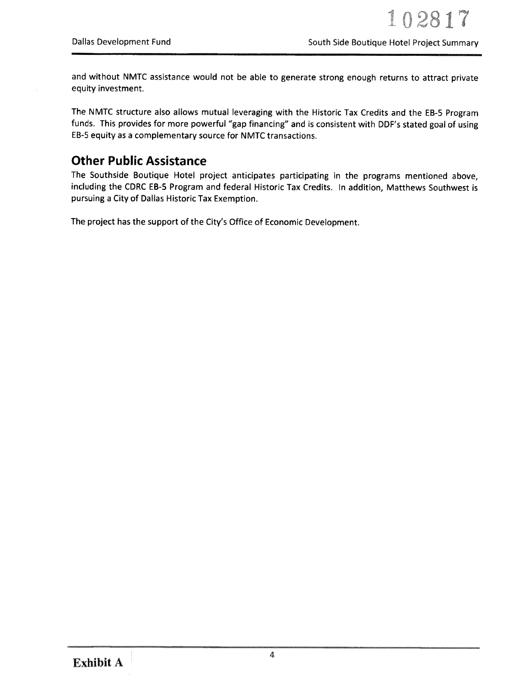and without NMTC assistance would not be able to generate strong enoug<sup>h</sup> returns to attract private equity investment.

The NMTC structure also allows mutual leveraging with the Historic Tax Credits and the EB-5 Program funds. This provides for more powerful "gap financing" and is consistent with DDF's stated goa<sup>l</sup> of using EB-5 equity as <sup>a</sup> complementary source for NMTC transactions.

#### Other Public Assistance

The Southside Boutique Hotel project anticipates participating in the programs mentioned above, including the CDRC EB-5 Program and federal Historic Tax Credits. In addition, Matthews Southwest is pursuing <sup>a</sup> City of Dallas Historic Tax Exemption.

The project has the suppor<sup>t</sup> of the City's Office of Economic Development.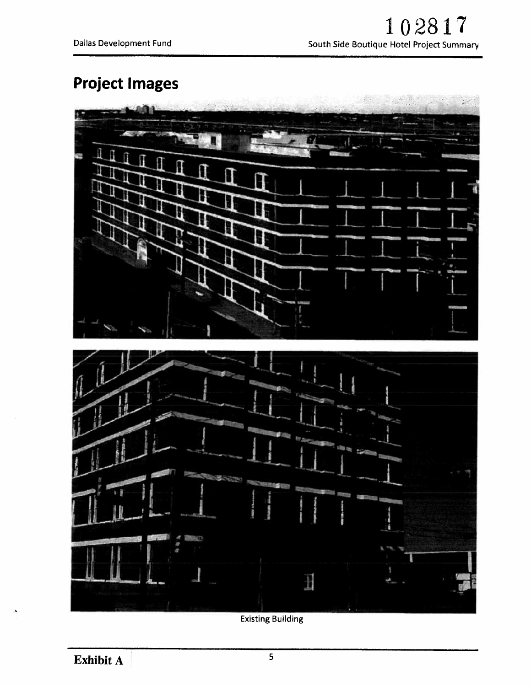# Project Images



Existing Building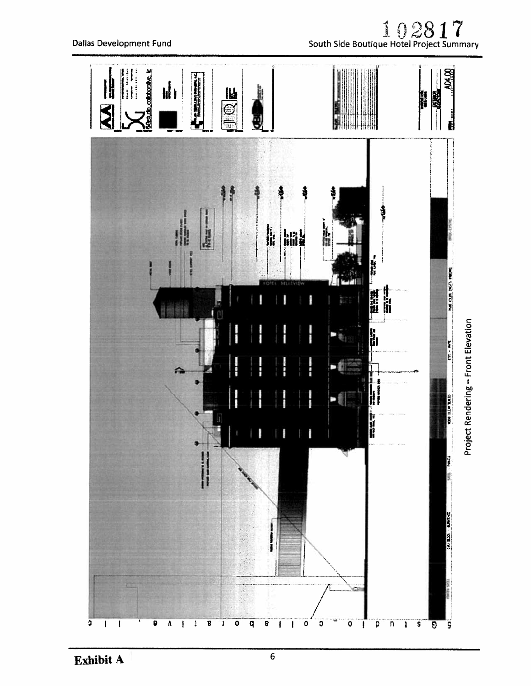

Exhibit A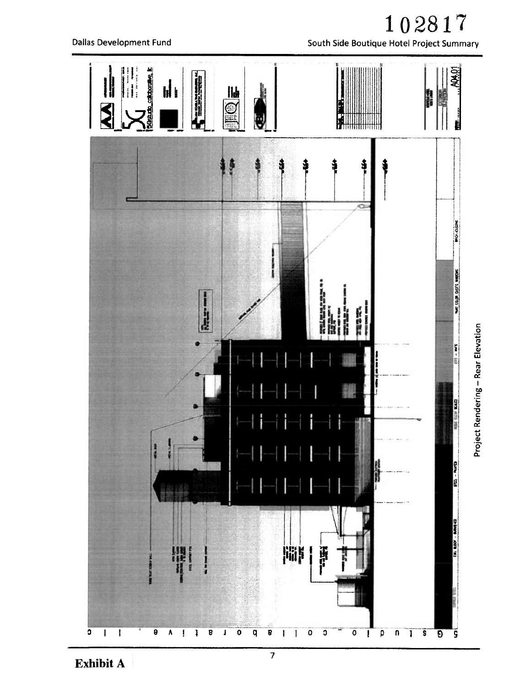102817 South Side Boutique Hotel Project Summary



**Exhibit A** 

 $\overline{7}$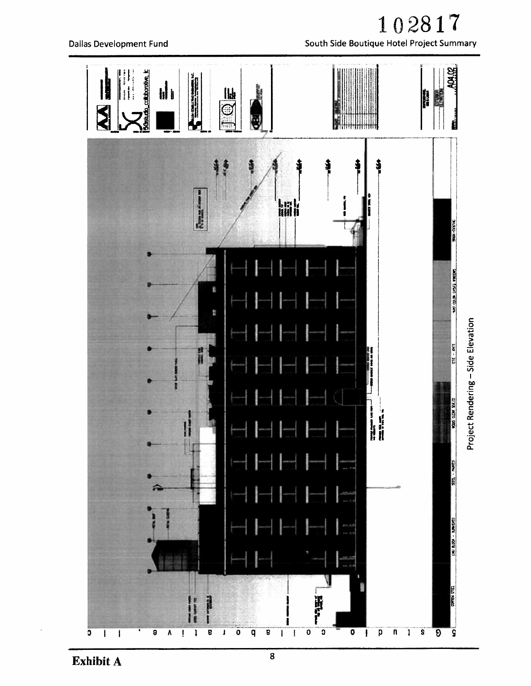

**Dallas Development Fund** 

102817

South Side Boutique Hotel Project Summary

Exhibit A